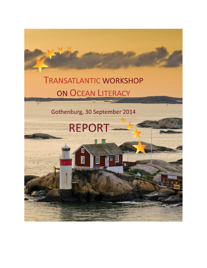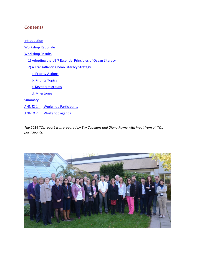## **Contents**

**[Introduction](#page-2-0)** [Workshop Rationale](#page-2-1) [Workshop Results](#page-3-0) [1\) Adopting the US 7 Essential Principles of Ocean Literacy](#page-3-1) [2\) A Transatlantic Ocean Literacy Strategy](#page-4-0) [a. Priority Actions](#page-4-1) [b. Priority Topics](#page-5-0) [c. Key target groups](#page-6-0) [d. Milestones](#page-7-0) **[Summary](#page-8-0)** ANNEX 1\_ [Workshop Participants](#page-9-0) [ANNEX 2 \\_](#page-11-0) [Workshop agenda](#page-11-0)

*The 2014 TOL report was prepared by Evy Copejans and Diana Payne with input from all TOL participants.*

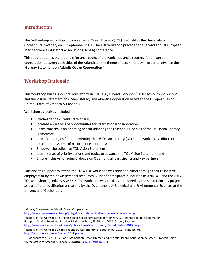## <span id="page-2-0"></span>**Introduction**

The Gothenburg workshop on Transatlantic Ocean Literacy (TOL) was held at the University of Gothenburg, Sweden, on 30 September 2014. The TOL workshop preceded the second annual European Marine Science Educators Association (EMSEA) conference.

This report outlines the rationale for and results of the workshop and a strategy for enhanced cooperation between both sides of the Atlantic on the theme of ocean literacy in order to advance the '**Galway Statement on Atlantic Ocean Cooperation<sup>1</sup> '**.

## <span id="page-2-1"></span>**Workshop Rationale**

This workshop builds upon previous efforts in TOL (e.g., Ostend workshop<sup>2</sup>, TOL Plymouth workshop<sup>3</sup>, and the Vision Statement on Ocean Literacy and Atlantic Cooperation between the European Union, United States of America & Canada<sup>4</sup>).

Workshop objectives included:

- Synthesize the current state of TOL;
- Increase awareness of opportunities for international collaboration;
- Reach consensus on adopting and/or adapting the Essential Principles of the US Ocean Literacy Framework;
- Identify strategies for implementing the US Ocean Literacy (OL) Framework across different educational systems of participating countries;
- Empower the collective TOL Vision Statement;
- Identify a set of priority actions and topics to advance the TOL Vision Statement; and
- Ensure inclusive, ongoing dialogue on OL among all participants and key partners.

Participant's support to attend the 2014 TOL workshop was provided either through their respective employers or by their own personal resources. A list of participants is included as ANNEX 1 and the 2014 TOL workshop agenda as ANNEX 2. The workshop was partially sponsored by the Sea for Society project as part of the mobilization phase and by the Department of Biological and Environmental Sciences at the University of Gothenburg.

l

 $^2$  Report of the Workshop on Defining an ocean literacy agenda for Horizon2020 and transatlantic cooperation, European Marine Board and Flanders Marine Institute, 25-26 June 2013, Ostend, Belgium [http://www.marineboard.eu/images/publications/Ocean\\_Literacy\\_Report\\_Ostend2013\\_fnl.pdf](http://www.marineboard.eu/images/publications/Ocean_Literacy_Report_Ostend2013_fnl.pdf)

<sup>&</sup>lt;sup>1</sup> Galway Statement on Atlantic Ocean Cooperation

[http://ec.europa.eu/research/iscp/pdf/galway\\_statement\\_atlantic\\_ocean\\_cooperation.pdf](http://ec.europa.eu/research/iscp/pdf/galway_statement_atlantic_ocean_cooperation.pdf)

 $^3$  Report of the Workshop on Transatlantic Ocean Literacy, 5-6 September 2013, Plymouth, UK <http://www.emsea.eu/conference-2013-plymouth>

<sup>&</sup>lt;sup>4</sup> Tuddenham et al.. (2014). Vision Statement on Ocean Literacy, and Atlantic Ocean Cooperation between European Union, United States of America & Canada. ZENODO. [10.5281/zenodo.11864](http://dx.doi.org/10.5281/zenodo.11864)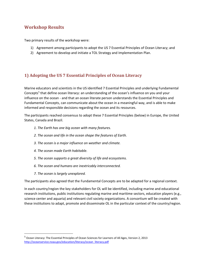## <span id="page-3-0"></span>**Workshop Results**

Two primary results of the workshop were:

- 1) Agreement among participants to adopt the US 7 Essential Principles of Ocean Literacy; and
- 2) Agreement to develop and initiate a TOL Strategy and Implementation Plan.

## <span id="page-3-1"></span>**1) Adopting the US 7 Essential Principles of Ocean Literacy**

Marine educators and scientists in the US identified 7 Essential Principles and underlying Fundamental Concepts<sup>5</sup> that define ocean literacy: an understanding of the ocean's influence on you and your influence on the ocean - and that an ocean literate person understands the Essential Principles and Fundamental Concepts, can communicate about the ocean in a meaningful way, and is able to make informed and responsible decisions regarding the ocean and its resources.

The participants reached consensus to adopt these 7 Essential Principles (below) in Europe, the United States, Canada and Brazil.

- *1. The Earth has one big ocean with many features.*
- *2. The ocean and life in the ocean shape the features of Earth.*
- *3. The ocean is a major influence on weather and climate.*
- *4. The ocean made Earth habitable.*
- *5. The ocean supports a great diversity of life and ecosystems.*
- *6. The ocean and humans are inextricably interconnected.*
- *7. The ocean is largely unexplored.*

 $\overline{a}$ 

The participants also agreed that the Fundamental Concepts are to be adapted for a regional context.

In each country/region the key stakeholders for OL will be identified, including marine and educational research institutions, public institutions regulating marine and maritime sectors, education players (e.g., science center and aquaria) and relevant civil society organizations. A consortium will be created with these institutions to adapt, promote and disseminate OL in the particular context of the country/region.

<sup>5</sup> Ocean Literacy: The Essential Principles of Ocean Sciences for Learners of All Ages, Version 2, 2013 [http://oceanservice.noaa.gov/education/literacy/ocean\\_literacy.pdf](http://oceanservice.noaa.gov/education/literacy/ocean_literacy.pdf)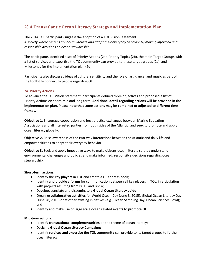## <span id="page-4-0"></span>**2) A Transatlantic Ocean Literacy Strategy and Implementation Plan**

The 2014 TOL participants suggest the adoption of a TOL Vision Statement: *A society where citizens are ocean literate and adapt their everyday behavior by making informed and responsible decisions on ocean stewardship.*

The participants identified a set of Priority Actions (2a), Priority Topics (2b), the main Target Groups with a list of services and expertise the TOL community can provide to these target groups (2c), and Milestones for the implementation plan (2d).

Participants also discussed ideas of cultural sensitivity and the role of art, dance, and music as part of the toolkit to connect to people regarding OL.

## <span id="page-4-1"></span>**2a. Priority Actions**

To advance the TOL Vision Statement, participants defined three objectives and proposed a list of Priority Actions on short, mid and long term. **Additional detail regarding actions will be provided in the implementation plan. Please note that some actions may be combined or adjusted to different time frames.**

**Objective 1.** Encourage cooperation and best practice exchanges between Marine Education Associations and all interested parties from both sides of the Atlantic, and seek to promote and apply ocean literacy globally.

**Objective 2.** Raise awareness of the two-way interactions between the Atlantic and daily life and empower citizens to adapt their everyday behavior.

**Objective 3.** Seek and apply innovative ways to make citizens ocean literate so they understand environmental challenges and policies and make informed, responsible decisions regarding ocean stewardship.

## **Short-term actions:**

- Identify the **key players** in TOL and create a OL address book;
- Identify and provide a **forum** for communication between all key players in TOL, in articulation with projects resulting from BG13 and BG14;
- Develop, translate and disseminate a **Global Ocean Literacy guide**;
- Organize **collaborative activities** for World Ocean Day (June 8, 2015), Global Ocean Literacy Day (June 28, 2015) or at other existing initiatives (e.g., Ocean Sampling Day, Ocean Sciences Bowl); and
- Identify and make use of large scale ocean related **events** to **promote OL.**

## **Mid-term actions:**

- Identify **transnational complementarities** on the theme of ocean literacy;
- Design a **Global Ocean Literacy Campaign;**
- Identify **services and expertise the TOL community** can provide to its target groups to further ocean literacy;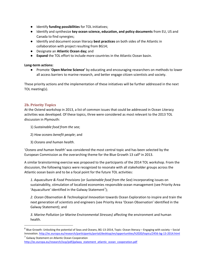- Identify **funding possibilities** for TOL initiatives;
- Identify and synthesize **key ocean science, education, and policy documents** from EU, US and Canada to find synergies;
- Identify and document ocean literacy **best practices** on both sides of the Atlantic in collaboration with project resulting from BG14;
- Designate an **Atlantic Ocean day;** and
- **Expand** the TOL effort to include more countries in the Atlantic Ocean basin.

## **Long-term actions:**

● Promote '**Open Marine Science'** by educating and encouraging researchers on methods to lower all access barriers to marine research, and better engage citizen scientists and society.

These priority actions and the implementation of these initiatives will be further addressed in the next TOL meeting(s).

## <span id="page-5-0"></span>**2b. Priority Topics**

At the Ostend workshop in 2013, a list of common issues that could be addressed in Ocean Literacy activities was developed. Of these topics, three were considered as most relevant to the 2013 TOL discussion in Plymouth:

- 1) *Sustainable food from the sea*;
- 2) *How oceans benefit people*; and
- 3) *Oceans and human health*.

'*Oceans and human health'* was considered the most central topic and has been selected by the European Commission as the overarching theme for the Blue Growth 13 call<sup>6</sup> in 2013.

A similar brainstorming exercise was proposed to the participants of the 2014 TOL workshop. From the discussion, the following topics were recognized to resonate with all stakeholder groups across the Atlantic ocean basin and to be a focal point for the future TOL activities:

*1. Aquaculture & Food Provisions* (or *Sustainable food from the Sea*) incorporating issues on sustainability, stimulation of localized economies responsible ocean management (see Priority Area 'Aquaculture' identified in the Galway Statement<sup>7</sup>);

*2. Ocean Observation & Technological Innovation* towards Ocean Exploration to inspire and train the next generation of scientists and engineers (see Priority Area 'Ocean Observation' identified in the Galway Statement); and

*3. Marine Pollution* (*or Marine Environmental Stresses)* affecting the environment and human health.

<sup>7</sup> Galway Statement on Atlantic Ocean Cooperation

 $\overline{a}$ 

 $^6$  Blue Growth: Unlocking the potential of Seas and Oceans, BG-13-2014, Topic: Ocean literacy – Engaging with society – Social Innovation[. http://ec.europa.eu/research/participants/portal/desktop/en/opportunities/h2020/topics/2456-bg-13-2014.html](http://ec.europa.eu/research/participants/portal/desktop/en/opportunities/h2020/topics/2456-bg-13-2014.html)

[http://ec.europa.eu/research/iscp/pdf/galway\\_statement\\_atlantic\\_ocean\\_cooperation.pdf](http://ec.europa.eu/research/iscp/pdf/galway_statement_atlantic_ocean_cooperation.pdf)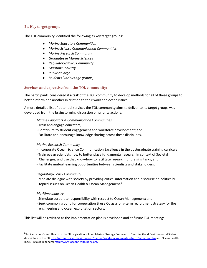## <span id="page-6-0"></span>**2c. Key target groups**

The TOL community identified the following as key target groups:

- *Marine Educators Communities*
- *Marine Science Communication Communities*
- *Marine Research Community*
- *Graduates in Marine Sciences*
- *Regulatory/Policy Community*
- *Maritime Industry*
- *Public at large*
- *Students (various age groups)*

## **Services and expertise from the TOL community:**

The participants considered it a task of the TOL community to develop methods for all of these groups to better inform one another in relation to their work and ocean issues.

A more detailed list of potential services the TOL community aims to deliver to its target groups was developed from the brainstorming discussion on priority actions:

## *Marine Educators & Communication Communities*

- Train and engage educators;
- Contribute to student engagement and workforce development; and
- Facilitate and encourage knowledge sharing across these disciplines.

## *Marine Research Community*

- Incorporate Ocean Science Communication Excellence in the postgraduate training curricula;
- Train ocean scientists how to better place fundamental research in context of Societal Challenges, and use that know-how to facilitate research fundraising tasks; and
- Facilitate mutual learning opportunities between scientists and stakeholders.

## *Regulatory/Policy Community*

- Mediate dialogue with society by providing critical information and discourse on politically topical issues on Ocean Health & Ocean Management.<sup>8</sup>

## *Maritime Industry*

 $\overline{a}$ 

- Stimulate corporate responsibility with respect to Ocean Management; and
- Seek common ground for cooperation & use OL as a long-term recruitment strategy for the engineering and ocean exploitation sectors.

This list will be revisited as the implementation plan is developed and at future TOL meetings.

<sup>&</sup>lt;sup>8</sup> Indicators of Ocean Health in the EU Legislation follows Marine Strategy Framework Directive Good Environmental Status descriptors in the E[U http://ec.europa.eu/environment/marine/good-environmental-status/index\\_en.htm](http://ec.europa.eu/environment/marine/good-environmental-status/index_en.htm) and Ocean Health Index' 10 axis in general http://www.oceanhealthindex.org/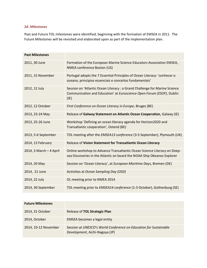## <span id="page-7-0"></span>**2d. Milestones**

Past and Future TOL milestones were identified, beginning with the formation of EMSEA in 2011. The Future Milestones will be revisited and elaborated upon as part of the implementation plan.

| <b>Past Milestones</b>  |                                                                                                                                                             |
|-------------------------|-------------------------------------------------------------------------------------------------------------------------------------------------------------|
| 2011, 30 June           | Formation of the European Marine Science Educators Association EMSEA,<br><b>NMEA conference Boston (US)</b>                                                 |
| 2011, 15 November       | Portugal adopts the 7 Essential Principles of Ocean Literacy: 'conhecer o<br>oceano, principios essenciais e conceitos fundamentais'                        |
| 2012, 12 July           | Session on 'Atlantic Ocean Literacy : a Grand Challenge for Marine Science<br>Communication and Education' at Euroscience Open Forum (ESOF), Dublin<br>(IE) |
| 2012, 12 October        | First Conference on Ocean Literacy in Europe, Bruges (BE)                                                                                                   |
| 2013, 23-24 May         | Release of Galway Statement on Atlantic Ocean Cooperation, Galway (IE)                                                                                      |
| 2013, 25-26 June        | Workshop 'Defining an ocean literacy agenda for Horizon2020 and<br>Transatlantic cooperation', Ostend (BE)                                                  |
| 2013, 5-6 September     | TOL meeting after the EMSEA13 conference (3-5 September), Plymouth (UK)                                                                                     |
| 2014, 13 February       | Release of Vision Statement for Transatlantic Ocean Literacy                                                                                                |
| 2014, 3 March - 4 April | Online workshop to Advance Transatlantic Ocean Science Literacy on Deep-<br>sea Discoveries in the Atlantic on board the NOAA Ship Okeanos Explorer         |
| 2014, 20 May            | Session on 'Ocean Literacy', at European Maritime Days, Bremen (DE)                                                                                         |
| 2014, 21 June           | Activities at Ocean Sampling Day (OSD)                                                                                                                      |
| 2014, 22 July           | OL meeting prior to NMEA 2014                                                                                                                               |
| 2014, 30 September      | TOL meeting prior to EMSEA14 conference (1-3 October), Gothenburg (SE)                                                                                      |

| <b>Future Milestones</b> |                                                                                                     |
|--------------------------|-----------------------------------------------------------------------------------------------------|
| 2014, 31 October         | Release of TOL Strategic Plan                                                                       |
| 2014, October            | EMSEA becomes a legal entity                                                                        |
| 2014, 10-12 November     | Session at UNESCO's World Conference on Education for Sustainable<br>Development, Aichi-Nagoya (JP) |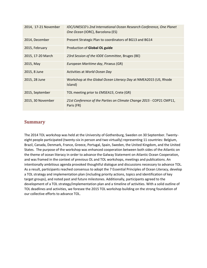| 2014, 17-21 November | IOC/UNESCO's 2nd International Ocean Research Conference, One Planet<br>One Ocean (IORC), Barcelona (ES) |
|----------------------|----------------------------------------------------------------------------------------------------------|
| 2014, December       | Present Strategic Plan to coordinators of BG13 and BG14                                                  |
| 2015, February       | Production of Global OL guide                                                                            |
| 2015, 17-20 March    | 23rd Session of the IODE Committee, Bruges (BE)                                                          |
| 2015, May            | European Maritime day, Piraeus (GR)                                                                      |
| 2015, 8 June         | Activities at World Ocean Day                                                                            |
| 2015, 28 June        | Workshop at the Global Ocean Literacy Day at NMEA2015 (US, Rhode<br>Island)                              |
| 2015, September      | TOL meeting prior to <i>EMSEA15</i> , Crete (GR)                                                         |
| 2015, 30 November    | 21st Conference of the Parties on Climate Change 2015 - COP21 CMP11,<br>Paris (FR)                       |

## <span id="page-8-0"></span>**Summary**

The 2014 TOL workshop was held at the University of Gothenburg, Sweden on 30 September. Twentyeight people participated (twenty-six in person and two virtually) representing 11 countries: Belgium, Brazil, Canada, Denmark, France, Greece, Portugal, Spain, Sweden, the United Kingdom, and the United States. The purpose of the workshop was enhanced cooperation between both sides of the Atlantic on the theme of ocean literacy in order to advance the Galway Statement on Atlantic Ocean Cooperation, and was framed in the context of previous OL and TOL workshops, meetings and publications. An intentionally ambitious agenda provoked thoughtful dialogue and discussions necessary to advance TOL. As a result, participants reached consensus to adopt the 7 Essential Principles of Ocean Literacy, develop a TOL strategy and implementation plan (including priority actions, topics and identification of key target groups), and noted past and future milestones. Additionally, participants agreed to the development of a TOL strategy/implementation plan and a timeline of activities. With a solid outline of TOL deadlines and activities, we foresee the 2015 TOL workshop building on the strong foundation of our collective efforts to advance TOL.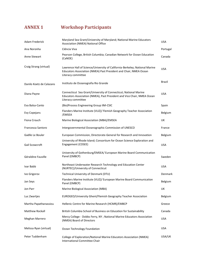# <span id="page-9-0"></span>**ANNEX 1 Workshop Participants**

| Adam Frederick           | Maryland Sea Grant/University of Maryland; National Marine Educators<br>Association (NMEA) National Office                                                             | <b>USA</b> |
|--------------------------|------------------------------------------------------------------------------------------------------------------------------------------------------------------------|------------|
| Ana Noronha              | Ciência Viva                                                                                                                                                           | Portugal   |
| Anne Stewart             | Pearson College, British Columbia; Canadian Network for Ocean Education<br>(CaNOE)                                                                                     | Canada     |
| Craig Strang (virtual)   | Lawrence Hall of Science/University of California-Berkeley; National Marine<br>Educators Association (NMEA) Past President and Chair, NMEA Ocean<br>Literacy committee | <b>USA</b> |
| Danilo Koetz de Calazans | Instituto de Oceanografia Rio Grande                                                                                                                                   | Brazil     |
| Diana Payne              | Connecticut Sea Grant/University of Connecticut; National Marine<br>Educators Association (NMEA), Past President and Vice Chair, NMEA Ocean<br>Literacy committee      | <b>USA</b> |
| Eva Balsa-Canto          | (Bio) Process Engineering Group IIM-CSIC                                                                                                                               | Spain      |
| Evy Copejans             | Flanders Marine Institute (VLIZ)/ Flemish Geography Teacher Association<br>/EMSEA                                                                                      | Belgium    |
| Fiona Crouch             | Marine Biological Association (MBA)/EMSEA                                                                                                                              | UK         |
| Francesca Santoro        | Intergovernmental Oceanographic Commission of UNESCO                                                                                                                   | France     |
| Gaëlle Le Bouler         | European Commission, Directorate-General for Research and Innovation                                                                                                   | Belgium    |
| Gail Scowcroft           | University of Rhode Island; Consortium for Ocean Science Exploration and<br>Engagement (COSEE)                                                                         | <b>USA</b> |
| Géraldine Fauville       | University of Gothenburg/EMSEA/ European Marine Board Communication<br>Panel (EMBCP)                                                                                   | Sweden     |
| Ivar Babb                | Northeast Underwater Research Technology and Education Center<br>(NURTEC)/University of Connecticut                                                                    | <b>USA</b> |
| Ivo Grigorov             | Technical University of Denmark (DTU)                                                                                                                                  | Denmark    |
| Jan Seys                 | Flanders Marine Institute (VLIZ)/ European Marine Board Communication<br>Panel (EMBCP)                                                                                 | Belgium    |
| Jon Parr                 | Marine Biological Association (MBA)                                                                                                                                    | UK         |
| Luc Zwartjes             | EUROGEO/University Ghent/Flemish Geography Teacher Association                                                                                                         | Belgium    |
| Martha Papathanassiou    | Hellenic Centre for Marine Research (HCMR)/EMBCP                                                                                                                       | Greece     |
| Matthew Rockall          | British Columbia School of Business on Education for Sustainability                                                                                                    | Canada     |
| Meghan Marrero           | Mercy College - Dobbs Ferry, NY; National Marine Educators Association<br>(NMEA) Board of Directors                                                                    | <b>USA</b> |
| Melissa Ryan (virtual)   | Ocean Technology Foundation                                                                                                                                            | <b>USA</b> |
| Peter Tuddenham          | College of Exploration/National Marine Educators Association (NMEA)<br>International Committee Chair                                                                   | USA/UK     |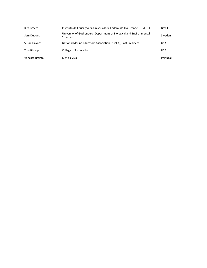| Rita Grecco     | Instituto de Educação da Universidade Federal do Rio Grande - IE/FURG                   | Brazil     |
|-----------------|-----------------------------------------------------------------------------------------|------------|
| Sam Dupont      | University of Gothenburg, Department of Biological and Environmental<br><b>Sciences</b> | Sweden     |
| Susan Haynes    | National Marine Educators Association (NMEA), Past President                            | <b>USA</b> |
| Tina Bishop     | College of Exploration                                                                  | <b>USA</b> |
| Vanessa Batista | Ciência Viva                                                                            | Portugal   |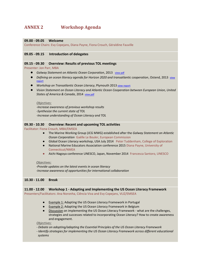## <span id="page-11-0"></span>**ANNEX 2 Workshop Agenda**

#### **09.00 - 09.05 Welcome**

Conference Chairs: Evy Copejans, Diana Payne, Fiona Crouch, Géraldine Fauville

## **09.05 - 09.15 Introduction of delegates**

#### **09.15 - 09.30 Overview: Results of previous TOL meetings**

Presenter: Jon Parr, MBA

- **•** *Galway Statement on Atlantic Ocean Corporation*, 2013 [view pdf](http://ec.europa.eu/research/iscp/pdf/galway_statement_atlantic_ocean_cooperation.pdf)
- *Defining an ocean literacy agenda for Horizon 2020 and transatlantic cooperation*, Ostend, 2013 view [report](http://www.marineboard.eu/images/publications/Ocean_Literacy_Report_Ostend2013_fnl.pdf)
- *Workshop on Transatlantic Ocean Literacy*, Plymouth 2013 [view report](http://www.emsea.eu/conferences/conference-2013-plymouth)
- *Vision Statement on Ocean Literacy and Atlantic Ocean Cooperation between European Union, United*  States of America & Canada, 2014 [view pdf](http://www.emsea.eu/conferences/conference-2013-plymouth)

#### *Objectives:*

*-Increase awareness of previous workshop results -Synthesize the current state of TOL -Increase understanding of Ocean Literacy and TOL* 

#### **09.30 - 10.30 Overview: Recent and upcoming TOL activities**

Facilitator: Fiona Crouch, MBA/EMSEA

- The Marine Working Group (JCG MWG) established after the *Galway Statement on Atlantic Ocean Corporation* Gaëlle Le Bouler, European Commission
- Global Ocean Literacy workshop, USA July 2014 Peter Tuddenham, College of Exploration
- National Marine Educators Association conference 2015 Diana Payne, University of Connecticut/NMEA
- Aichi-Nagoya conference UNESCO, Japan, November 2014 Francesca Santoro, UNESCO

#### *Objectives:*

*-Provide updates on the latest events in ocean literacy -Increase awareness of opportunities for international collaboration*

### **10.30 - 11.00 Break**

#### **11.00 - 12.00 Workshop 1 - Adapting and Implementing the US Ocean Literacy Framework**  Presenters/Facilitators: Ana Noronha, Ciência Viva and Evy Copejans, VLIZ/EMSEA

- Example 1: Adapting the US Ocean Literacy Framework in Portugal
- Example 2: Adapting the US Ocean Literacy Framework in Belgium
- Discussion on implementing the US Ocean Literacy Framework what are the challenges, strategies and successes related to incorporating Ocean Literacy? How to create awareness and engagement.

*Objectives:* 

*- Debate on adopting/adapting the Essential Principles of the US Ocean Literacy Framework*

*- Identify strategies for implementing the US Ocean Literacy Framework across different educational systems*